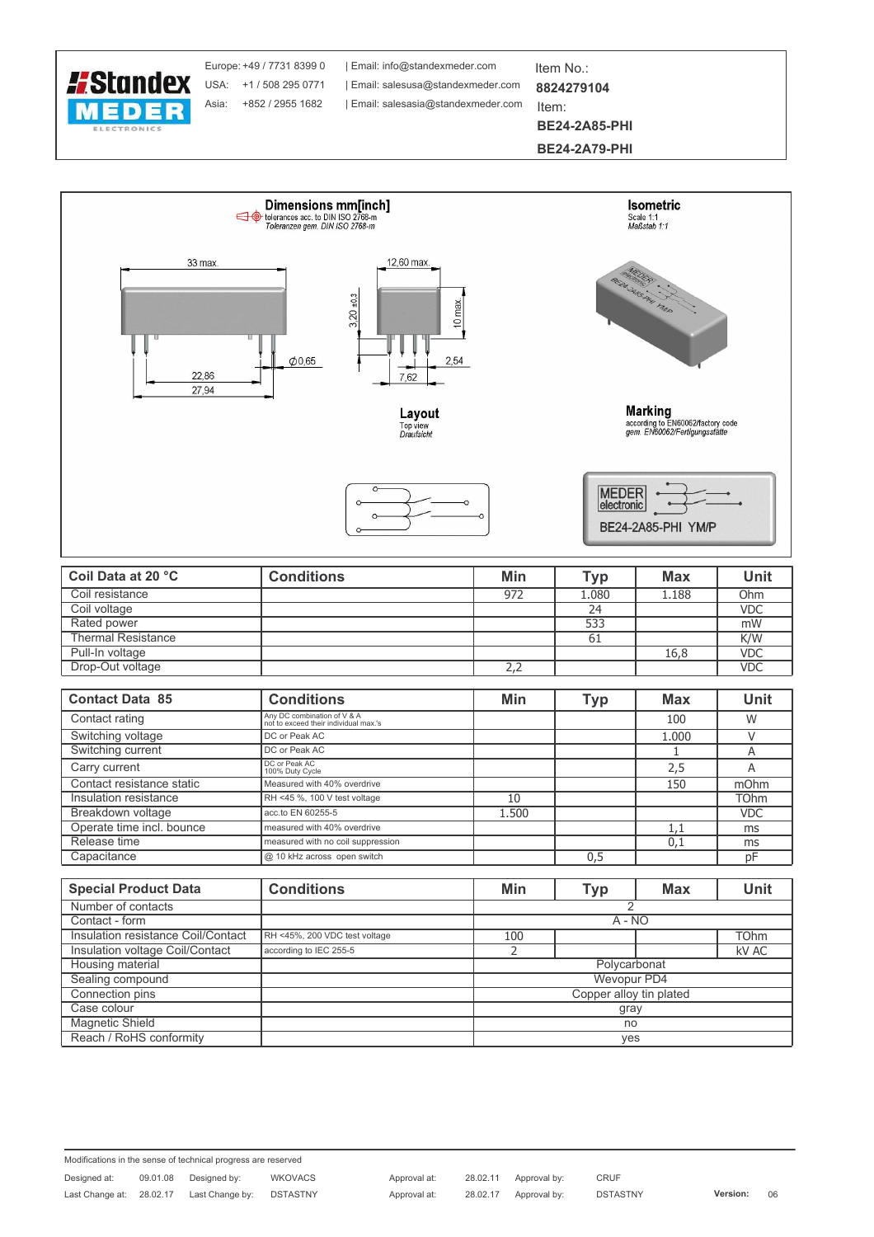

Europe: +49 / 7731 8399 0 Asia: +852 / 2955 1682

Email: info@standexmeder.com USA: +1 / 508 295 0771 | Email: salesusa@standexmeder.com Email: salesasia@standexmeder.com

Item No.: 8824279104

Item: **BE24-2A85-PHI** 

**BE24-2A79-PHI** 



| Coil Data at 20 °C        | <b>Conditions</b> | Min | <b>Typ</b> | <b>Max</b> | Unit       |
|---------------------------|-------------------|-----|------------|------------|------------|
| Coil resistance           |                   | 972 | 1.080      | 1.188      | Ohm        |
| Coil voltage              |                   |     | 24         |            | <b>VDC</b> |
| Rated power               |                   |     | 533        |            | mW         |
| <b>Thermal Resistance</b> |                   |     | -61        |            | K/W        |
| Pull-In voltage           |                   |     |            | 16,8       | <b>VDC</b> |
| Drop-Out voltage          |                   | 2,2 |            |            | <b>VDC</b> |

| <b>Contact Data 85</b>    | <b>Conditions</b>                                                    | Min   | <b>Typ</b> | <b>Max</b> | <b>Unit</b> |
|---------------------------|----------------------------------------------------------------------|-------|------------|------------|-------------|
| Contact rating            | Any DC combination of V & A<br>not to exceed their individual max.'s |       |            | 100        | W           |
| Switching voltage         | DC or Peak AC                                                        |       |            | 1.000      |             |
| Switching current         | DC or Peak AC                                                        |       |            |            | A           |
| Carry current             | DC or Peak AC<br>100% Duty Cycle                                     |       |            | 2,5        | A           |
| Contact resistance static | Measured with 40% overdrive                                          |       |            | 150        | mOhm        |
| Insulation resistance     | RH <45 %, 100 V test voltage                                         | 10    |            |            | <b>TOhm</b> |
| Breakdown voltage         | acc.to EN 60255-5                                                    | 1.500 |            |            | <b>VDC</b>  |
| Operate time incl. bounce | measured with 40% overdrive                                          |       |            | 1,1        | ms          |
| Release time              | measured with no coil suppression                                    |       |            | 0,1        | ms          |
| Capacitance               | @ 10 kHz across open switch                                          |       | 0,5        |            | рF          |

| <b>Special Product Data</b>        | <b>Conditions</b>             | Min | Typ                     | <b>Max</b> | <b>Unit</b> |  |
|------------------------------------|-------------------------------|-----|-------------------------|------------|-------------|--|
| Number of contacts                 |                               |     |                         |            |             |  |
| Contact - form                     |                               |     | $A - NO$                |            |             |  |
| Insulation resistance Coil/Contact | RH <45%, 200 VDC test voltage | 100 |                         |            | <b>TOhm</b> |  |
| Insulation voltage Coil/Contact    | according to IEC 255-5        |     |                         |            | kV AC       |  |
| Housing material                   |                               |     | Polycarbonat            |            |             |  |
| Sealing compound                   |                               |     | Wevopur PD4             |            |             |  |
| Connection pins                    |                               |     | Copper alloy tin plated |            |             |  |
| Case colour                        |                               |     | gray                    |            |             |  |
| Magnetic Shield                    |                               |     | no                      |            |             |  |
| Reach / RoHS conformity            |                               |     | ves                     |            |             |  |